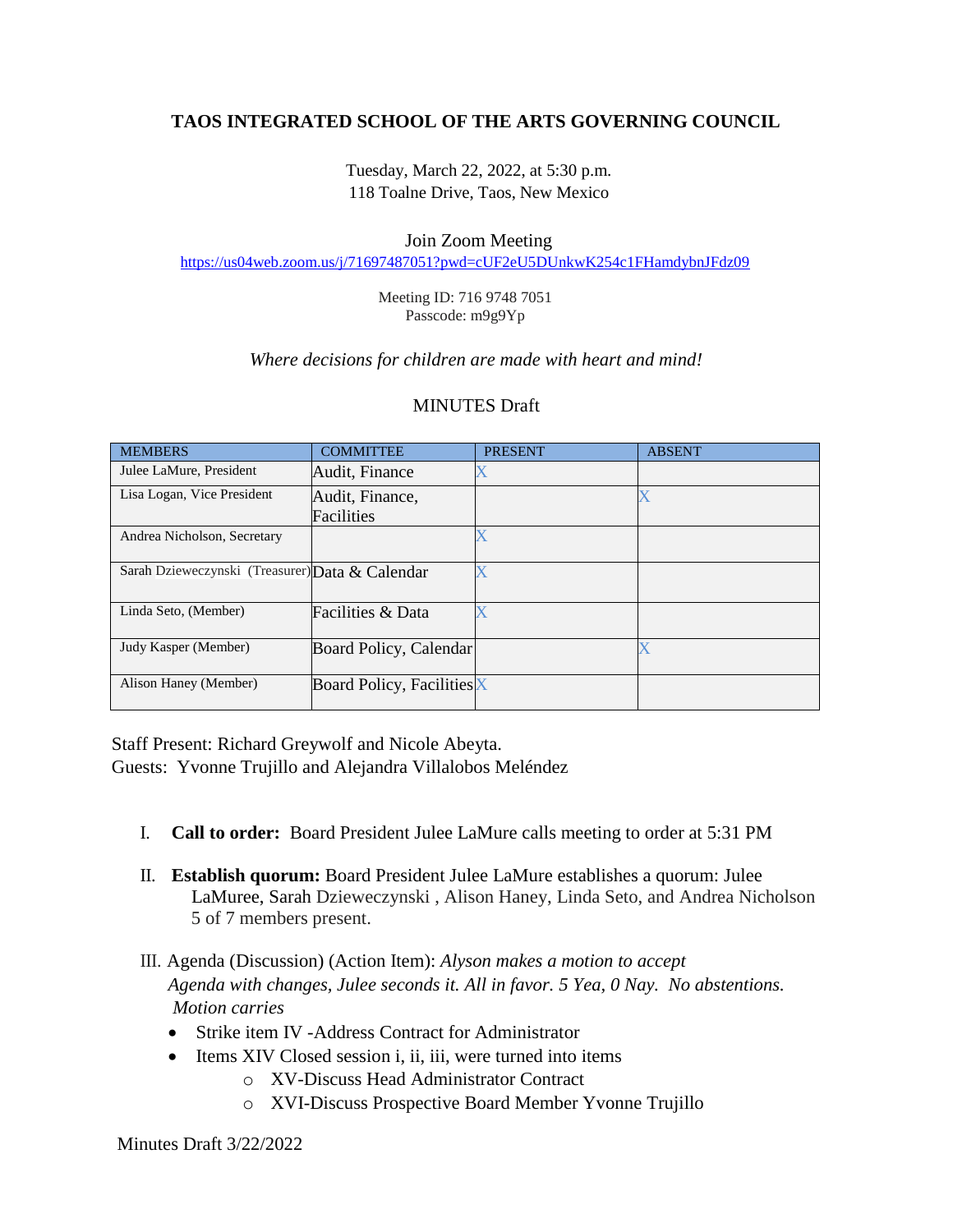# **TAOS INTEGRATED SCHOOL OF THE ARTS GOVERNING COUNCIL**

Tuesday, March 22, 2022, at 5:30 p.m. 118 Toalne Drive, Taos, New Mexico

#### Join Zoom Meeting

<https://us04web.zoom.us/j/71697487051?pwd=cUF2eU5DUnkwK254c1FHamdybnJFdz09>

Meeting ID: 716 9748 7051 Passcode: m9g9Yp

#### *Where decisions for children are made with heart and mind!*

#### MINUTES Draft

| <b>MEMBERS</b>                                  | <b>COMMITTEE</b>                  | <b>PRESENT</b> | <b>ABSENT</b> |
|-------------------------------------------------|-----------------------------------|----------------|---------------|
| Julee LaMure, President                         | Audit, Finance                    |                |               |
| Lisa Logan, Vice President                      | Audit, Finance,                   |                |               |
|                                                 | Facilities                        |                |               |
| Andrea Nicholson, Secretary                     |                                   |                |               |
| Sarah Dzieweczynski (Treasurer) Data & Calendar |                                   |                |               |
| Linda Seto, (Member)                            | <b>Facilities &amp; Data</b>      |                |               |
| Judy Kasper (Member)                            | Board Policy, Calendar            |                |               |
| Alison Haney (Member)                           | <b>Board Policy, Facilities</b> X |                |               |

Staff Present: Richard Greywolf and Nicole Abeyta.

Guests: Yvonne Trujillo and Alejandra Villalobos Meléndez

- I. **Call to order:** Board President Julee LaMure calls meeting to order at 5:31 PM
- II. **Establish quorum:** Board President Julee LaMure establishes a quorum: Julee LaMuree, Sarah Dzieweczynski , Alison Haney, Linda Seto, and Andrea Nicholson 5 of 7 members present.

# III. Agenda (Discussion) (Action Item): *Alyson makes a motion to accept Agenda with changes, Julee seconds it. All in favor. 5 Yea, 0 Nay. No abstentions. Motion carries*

- Strike item IV Address Contract for Administrator
- Items XIV Closed session *i*, *ii*, *iii*, were turned into items
	- o XV-Discuss Head Administrator Contract
	- o XVI-Discuss Prospective Board Member Yvonne Trujillo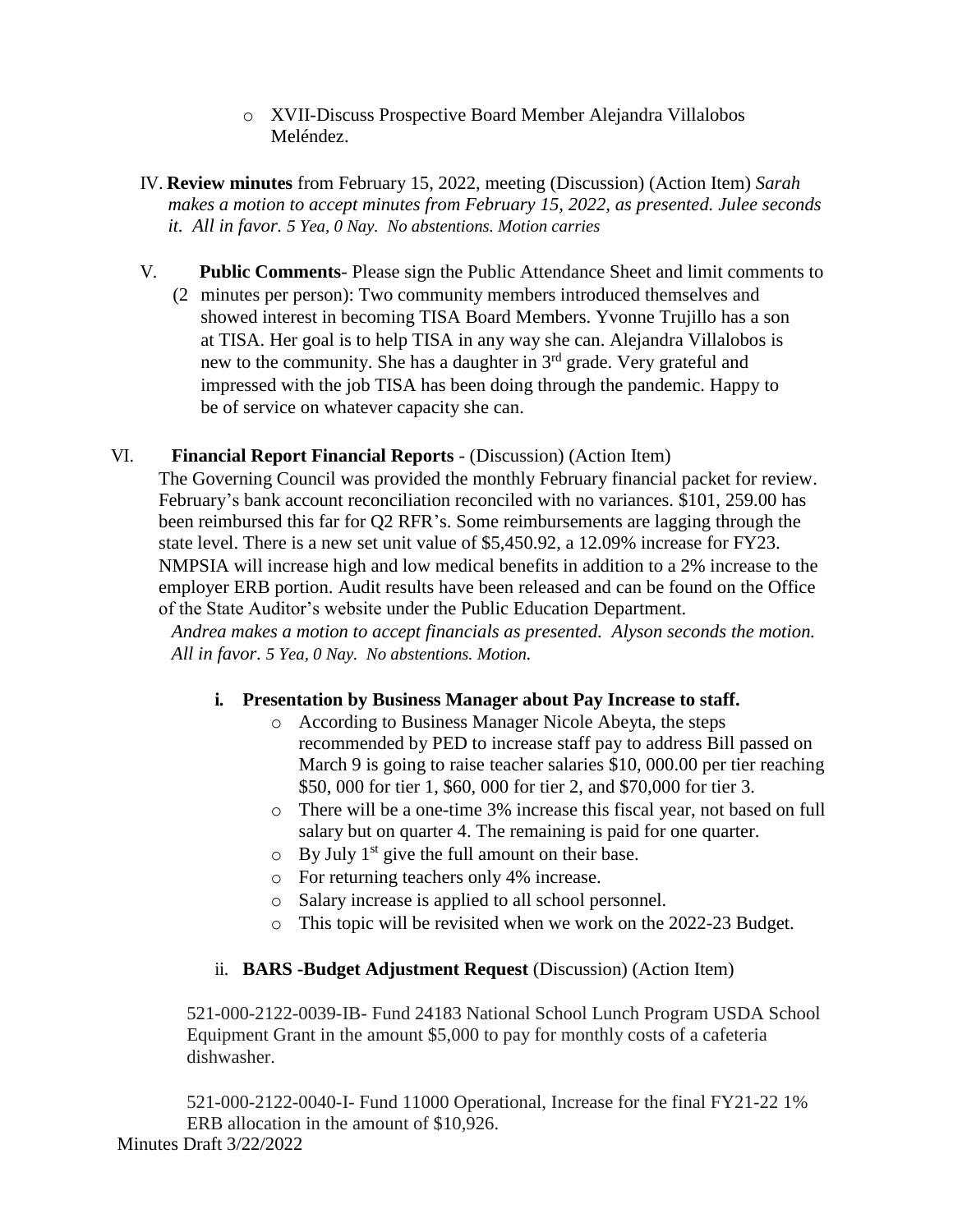- o XVII-Discuss Prospective Board Member Alejandra Villalobos Meléndez.
- IV. **Review minutes** from February 15, 2022, meeting (Discussion) (Action Item) *Sarah makes a motion to accept minutes from February 15, 2022, as presented. Julee seconds it. All in favor. 5 Yea, 0 Nay. No abstentions. Motion carries*
- V. **Public Comments** Please sign the Public Attendance Sheet and limit comments to (2 minutes per person): Two community members introduced themselves and showed interest in becoming TISA Board Members. Yvonne Trujillo has a son at TISA. Her goal is to help TISA in any way she can. Alejandra Villalobos is new to the community. She has a daughter in 3rd grade. Very grateful and impressed with the job TISA has been doing through the pandemic. Happy to be of service on whatever capacity she can.

### VI. **Financial Report Financial Reports** - (Discussion) (Action Item)

The Governing Council was provided the monthly February financial packet for review. February's bank account reconciliation reconciled with no variances. \$101, 259.00 has been reimbursed this far for Q2 RFR's. Some reimbursements are lagging through the state level. There is a new set unit value of \$5,450.92, a 12.09% increase for FY23. NMPSIA will increase high and low medical benefits in addition to a 2% increase to the employer ERB portion. Audit results have been released and can be found on the Office of the State Auditor's website under the Public Education Department.

*Andrea makes a motion to accept financials as presented. Alyson seconds the motion. All in favor. 5 Yea, 0 Nay. No abstentions. Motion.* 

### **i. Presentation by Business Manager about Pay Increase to staff.**

- o According to Business Manager Nicole Abeyta, the steps recommended by PED to increase staff pay to address Bill passed on March 9 is going to raise teacher salaries \$10, 000.00 per tier reaching \$50, 000 for tier 1, \$60, 000 for tier 2, and \$70,000 for tier 3.
- o There will be a one-time 3% increase this fiscal year, not based on full salary but on quarter 4. The remaining is paid for one quarter.
- $\circ$  By July 1<sup>st</sup> give the full amount on their base.
- o For returning teachers only 4% increase.
- o Salary increase is applied to all school personnel.
- o This topic will be revisited when we work on the 2022-23 Budget.

# ii. **BARS -Budget Adjustment Request** (Discussion) (Action Item)

521-000-2122-0039-IB- Fund 24183 National School Lunch Program USDA School Equipment Grant in the amount \$5,000 to pay for monthly costs of a cafeteria dishwasher.

Minutes Draft 3/22/2022 521-000-2122-0040-I- Fund 11000 Operational, Increase for the final FY21-22 1% ERB allocation in the amount of \$10,926.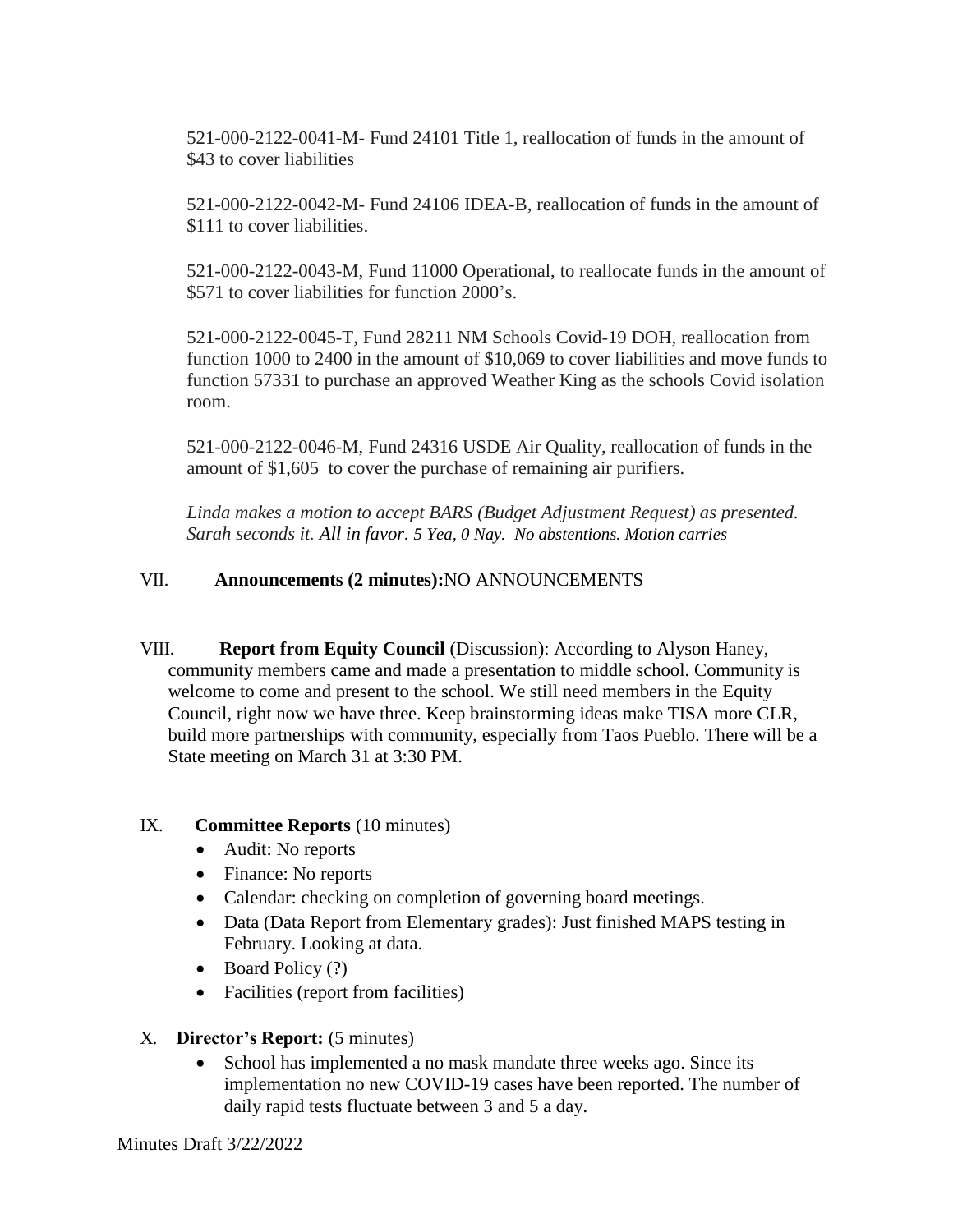521-000-2122-0041-M- Fund 24101 Title 1, reallocation of funds in the amount of \$43 to cover liabilities

521-000-2122-0042-M- Fund 24106 IDEA-B, reallocation of funds in the amount of \$111 to cover liabilities.

521-000-2122-0043-M, Fund 11000 Operational, to reallocate funds in the amount of \$571 to cover liabilities for function 2000's.

521-000-2122-0045-T, Fund 28211 NM Schools Covid-19 DOH, reallocation from function 1000 to 2400 in the amount of \$10,069 to cover liabilities and move funds to function 57331 to purchase an approved Weather King as the schools Covid isolation room.

521-000-2122-0046-M, Fund 24316 USDE Air Quality, reallocation of funds in the amount of \$1,605 to cover the purchase of remaining air purifiers.

*Linda makes a motion to accept BARS (Budget Adjustment Request) as presented. Sarah seconds it. All in favor. 5 Yea, 0 Nay. No abstentions. Motion carries* 

### VII. **Announcements (2 minutes):**NO ANNOUNCEMENTS

VIII. **Report from Equity Council** (Discussion): According to Alyson Haney, community members came and made a presentation to middle school. Community is welcome to come and present to the school. We still need members in the Equity Council, right now we have three. Keep brainstorming ideas make TISA more CLR, build more partnerships with community, especially from Taos Pueblo. There will be a State meeting on March 31 at 3:30 PM.

### IX. **Committee Reports** (10 minutes)

- Audit: No reports
- Finance: No reports
- Calendar: checking on completion of governing board meetings.
- Data (Data Report from Elementary grades): Just finished MAPS testing in February. Looking at data.
- Board Policy (?)
- Facilities (report from facilities)
- X. **Director's Report:** (5 minutes)
	- School has implemented a no mask mandate three weeks ago. Since its implementation no new COVID-19 cases have been reported. The number of daily rapid tests fluctuate between 3 and 5 a day.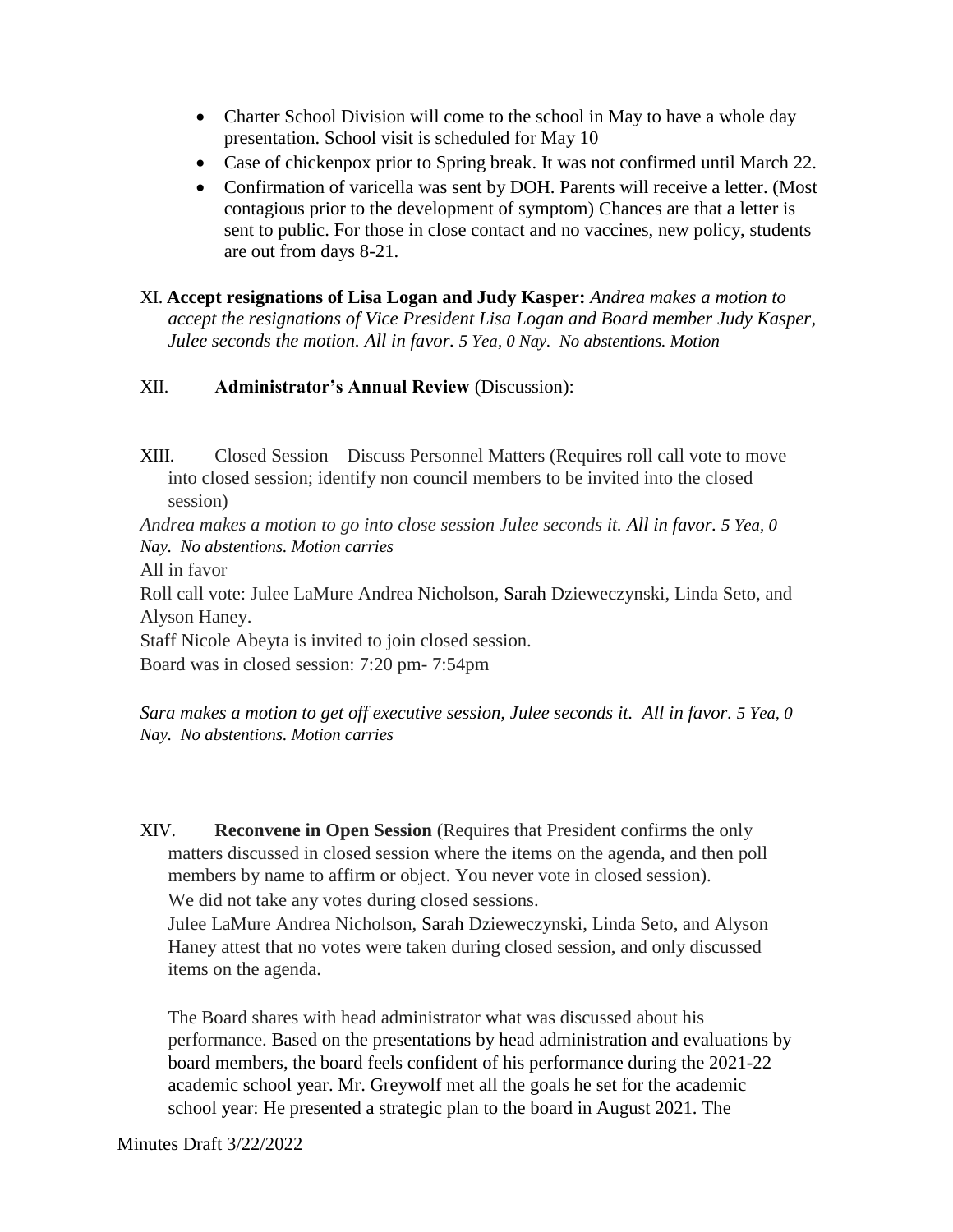- Charter School Division will come to the school in May to have a whole day presentation. School visit is scheduled for May 10
- Case of chickenpox prior to Spring break. It was not confirmed until March 22.
- Confirmation of varicella was sent by DOH. Parents will receive a letter. (Most contagious prior to the development of symptom) Chances are that a letter is sent to public. For those in close contact and no vaccines, new policy, students are out from days 8-21.

XI. **Accept resignations of Lisa Logan and Judy Kasper:** *Andrea makes a motion to accept the resignations of Vice President Lisa Logan and Board member Judy Kasper, Julee seconds the motion. All in favor. 5 Yea, 0 Nay. No abstentions. Motion*

#### XII. **Administrator's Annual Review** (Discussion):

XIII. Closed Session – Discuss Personnel Matters (Requires roll call vote to move into closed session; identify non council members to be invited into the closed session)

*Andrea makes a motion to go into close session Julee seconds it. All in favor. 5 Yea, 0 Nay. No abstentions. Motion carries* 

All in favor

Roll call vote: Julee LaMure Andrea Nicholson, Sarah Dzieweczynski, Linda Seto, and Alyson Haney.

Staff Nicole Abeyta is invited to join closed session.

Board was in closed session: 7:20 pm- 7:54pm

*Sara makes a motion to get off executive session, Julee seconds it. All in favor. 5 Yea, 0 Nay. No abstentions. Motion carries* 

XIV. **Reconvene in Open Session** (Requires that President confirms the only matters discussed in closed session where the items on the agenda, and then poll members by name to affirm or object. You never vote in closed session). We did not take any votes during closed sessions.

Julee LaMure Andrea Nicholson, Sarah Dzieweczynski, Linda Seto, and Alyson Haney attest that no votes were taken during closed session, and only discussed items on the agenda.

The Board shares with head administrator what was discussed about his performance. Based on the presentations by head administration and evaluations by board members, the board feels confident of his performance during the 2021-22 academic school year. Mr. Greywolf met all the goals he set for the academic school year: He presented a strategic plan to the board in August 2021. The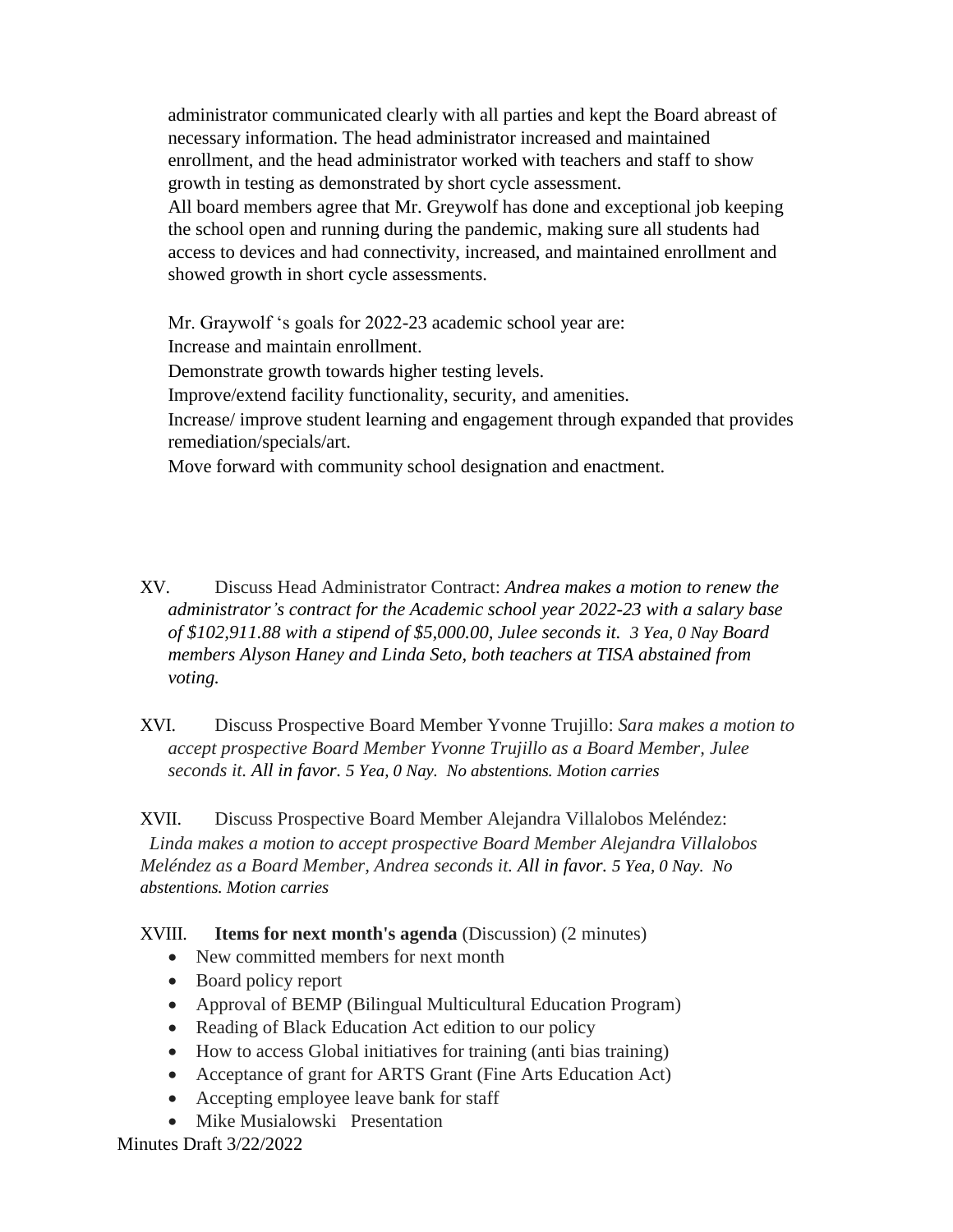administrator communicated clearly with all parties and kept the Board abreast of necessary information. The head administrator increased and maintained enrollment, and the head administrator worked with teachers and staff to show growth in testing as demonstrated by short cycle assessment. All board members agree that Mr. Greywolf has done and exceptional job keeping the school open and running during the pandemic, making sure all students had access to devices and had connectivity, increased, and maintained enrollment and showed growth in short cycle assessments.

Mr. Graywolf 's goals for 2022-23 academic school year are: Increase and maintain enrollment. Demonstrate growth towards higher testing levels. Improve/extend facility functionality, security, and amenities. Increase/ improve student learning and engagement through expanded that provides remediation/specials/art. Move forward with community school designation and enactment.

XV. Discuss Head Administrator Contract: *Andrea makes a motion to renew the administrator's contract for the Academic school year 2022-23 with a salary base of \$102,911.88 with a stipend of \$5,000.00, Julee seconds it. 3 Yea, 0 Nay Board members Alyson Haney and Linda Seto, both teachers at TISA abstained from voting.* 

XVI. Discuss Prospective Board Member Yvonne Trujillo: *Sara makes a motion to accept prospective Board Member Yvonne Trujillo as a Board Member, Julee seconds it. All in favor. 5 Yea, 0 Nay. No abstentions. Motion carries* 

XVII. Discuss Prospective Board Member Alejandra Villalobos Meléndez: *Linda makes a motion to accept prospective Board Member Alejandra Villalobos Meléndez as a Board Member, Andrea seconds it. All in favor. 5 Yea, 0 Nay. No abstentions. Motion carries* 

XVIII. **Items for next month's agenda** (Discussion) (2 minutes)

- New committed members for next month
- Board policy report
- Approval of BEMP (Bilingual Multicultural Education Program)
- Reading of Black Education Act edition to our policy
- How to access Global initiatives for training (anti bias training)
- Acceptance of grant for ARTS Grant (Fine Arts Education Act)
- Accepting employee leave bank for staff
- Mike Musialowski Presentation

Minutes Draft 3/22/2022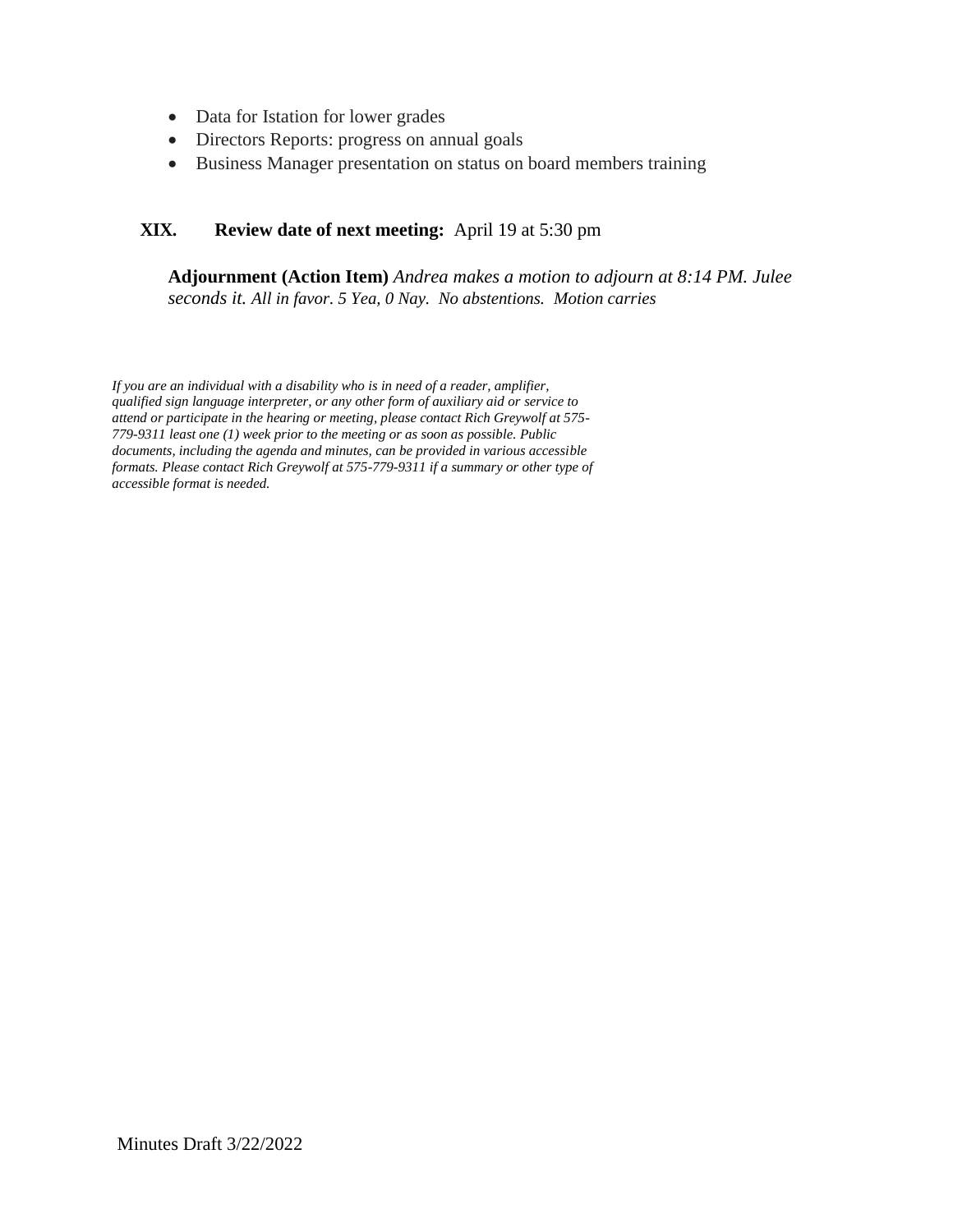- Data for Istation for lower grades
- Directors Reports: progress on annual goals
- Business Manager presentation on status on board members training

#### **XIX. Review date of next meeting:** April 19 at 5:30 pm

**Adjournment (Action Item)** *Andrea makes a motion to adjourn at 8:14 PM. Julee seconds it. All in favor. 5 Yea, 0 Nay. No abstentions. Motion carries* 

*If you are an individual with a disability who is in need of a reader, amplifier, qualified sign language interpreter, or any other form of auxiliary aid or service to attend or participate in the hearing or meeting, please contact Rich Greywolf at 575- 779-9311 least one (1) week prior to the meeting or as soon as possible. Public documents, including the agenda and minutes, can be provided in various accessible formats. Please contact Rich Greywolf at 575-779-9311 if a summary or other type of accessible format is needed.*